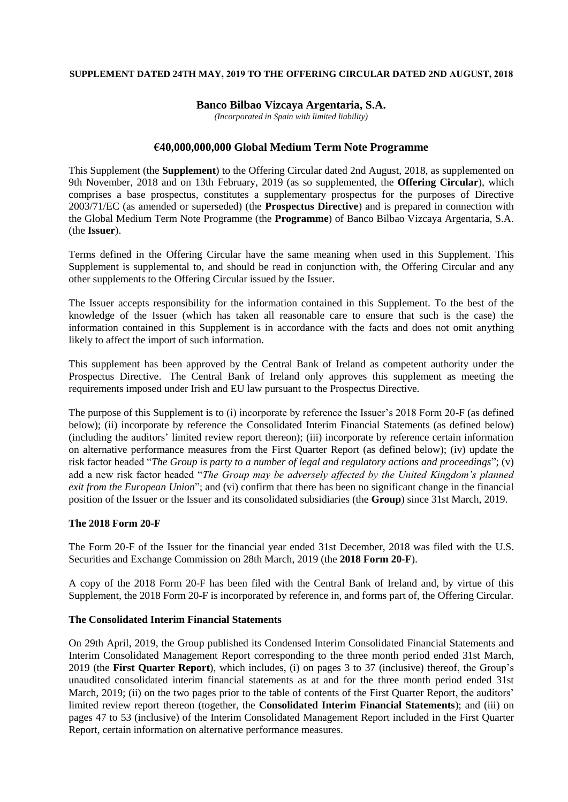### **SUPPLEMENT DATED 24TH MAY, 2019 TO THE OFFERING CIRCULAR DATED 2ND AUGUST, 2018**

# **Banco Bilbao Vizcaya Argentaria, S.A.**

*(Incorporated in Spain with limited liability)*

### **€40,000,000,000 Global Medium Term Note Programme**

This Supplement (the **Supplement**) to the Offering Circular dated 2nd August, 2018, as supplemented on 9th November, 2018 and on 13th February, 2019 (as so supplemented, the **Offering Circular**), which comprises a base prospectus, constitutes a supplementary prospectus for the purposes of Directive 2003/71/EC (as amended or superseded) (the **Prospectus Directive**) and is prepared in connection with the Global Medium Term Note Programme (the **Programme**) of Banco Bilbao Vizcaya Argentaria, S.A. (the **Issuer**).

Terms defined in the Offering Circular have the same meaning when used in this Supplement. This Supplement is supplemental to, and should be read in conjunction with, the Offering Circular and any other supplements to the Offering Circular issued by the Issuer.

The Issuer accepts responsibility for the information contained in this Supplement. To the best of the knowledge of the Issuer (which has taken all reasonable care to ensure that such is the case) the information contained in this Supplement is in accordance with the facts and does not omit anything likely to affect the import of such information.

This supplement has been approved by the Central Bank of Ireland as competent authority under the Prospectus Directive. The Central Bank of Ireland only approves this supplement as meeting the requirements imposed under Irish and EU law pursuant to the Prospectus Directive.

The purpose of this Supplement is to (i) incorporate by reference the Issuer's 2018 Form 20-F (as defined below); (ii) incorporate by reference the Consolidated Interim Financial Statements (as defined below) (including the auditors' limited review report thereon); (iii) incorporate by reference certain information on alternative performance measures from the First Quarter Report (as defined below); (iv) update the risk factor headed "*The Group is party to a number of legal and regulatory actions and proceedings*"; (v) add a new risk factor headed "*The Group may be adversely affected by the United Kingdom's planned exit from the European Union*"; and (vi) confirm that there has been no significant change in the financial position of the Issuer or the Issuer and its consolidated subsidiaries (the **Group**) since 31st March, 2019.

# **The 2018 Form 20-F**

The Form 20-F of the Issuer for the financial year ended 31st December, 2018 was filed with the U.S. Securities and Exchange Commission on 28th March, 2019 (the **2018 Form 20-F**).

A copy of the 2018 Form 20-F has been filed with the Central Bank of Ireland and, by virtue of this Supplement, the 2018 Form 20-F is incorporated by reference in, and forms part of, the Offering Circular.

#### **The Consolidated Interim Financial Statements**

On 29th April, 2019, the Group published its Condensed Interim Consolidated Financial Statements and Interim Consolidated Management Report corresponding to the three month period ended 31st March, 2019 (the **First Quarter Report**), which includes, (i) on pages 3 to 37 (inclusive) thereof, the Group's unaudited consolidated interim financial statements as at and for the three month period ended 31st March, 2019; (ii) on the two pages prior to the table of contents of the First Quarter Report, the auditors' limited review report thereon (together, the **Consolidated Interim Financial Statements**); and (iii) on pages 47 to 53 (inclusive) of the Interim Consolidated Management Report included in the First Quarter Report, certain information on alternative performance measures.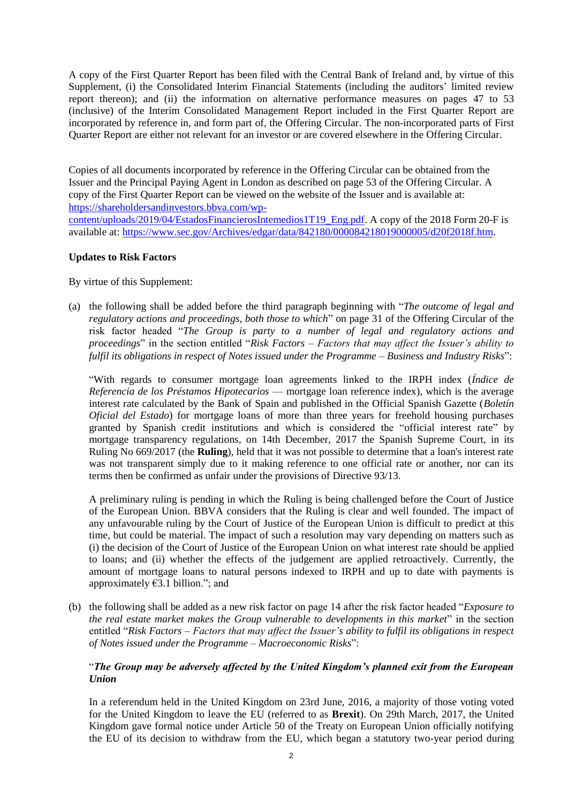A copy of the First Quarter Report has been filed with the Central Bank of Ireland and, by virtue of this Supplement, (i) the Consolidated Interim Financial Statements (including the auditors' limited review report thereon); and (ii) the information on alternative performance measures on pages 47 to 53 (inclusive) of the Interim Consolidated Management Report included in the First Quarter Report are incorporated by reference in, and form part of, the Offering Circular. The non-incorporated parts of First Quarter Report are either not relevant for an investor or are covered elsewhere in the Offering Circular.

Copies of all documents incorporated by reference in the Offering Circular can be obtained from the Issuer and the Principal Paying Agent in London as described on page 53 of the Offering Circular. A copy of the First Quarter Report can be viewed on the website of the Issuer and is available at: [https://shareholdersandinvestors.bbva.com/wp](https://shareholdersandinvestors.bbva.com/wp-content/uploads/2019/04/EstadosFinancierosIntemedios1T19_Eng.pdf)[content/uploads/2019/04/EstadosFinancierosIntemedios1T19\\_Eng.pdf.](https://shareholdersandinvestors.bbva.com/wp-content/uploads/2019/04/EstadosFinancierosIntemedios1T19_Eng.pdf) A copy of the 2018 Form 20-F is available at: [https://www.sec.gov/Archives/edgar/data/842180/000084218019000005/d20f2018f.htm.](https://www.sec.gov/Archives/edgar/data/842180/000084218019000005/d20f2018f.htm)

# **Updates to Risk Factors**

By virtue of this Supplement:

(a) the following shall be added before the third paragraph beginning with "*The outcome of legal and regulatory actions and proceedings, both those to which*" on page 31 of the Offering Circular of the risk factor headed "*The Group is party to a number of legal and regulatory actions and proceedings*" in the section entitled "*Risk Factors – Factors that may affect the Issuer's ability to fulfil its obligations in respect of Notes issued under the Programme – Business and Industry Risks*":

"With regards to consumer mortgage loan agreements linked to the IRPH index (*Índice de Referencia de los Préstamos Hipotecarios* — mortgage loan reference index), which is the average interest rate calculated by the Bank of Spain and published in the Official Spanish Gazette (*Boletín Oficial del Estado*) for mortgage loans of more than three years for freehold housing purchases granted by Spanish credit institutions and which is considered the "official interest rate" by mortgage transparency regulations, on 14th December, 2017 the Spanish Supreme Court, in its Ruling No 669/2017 (the **Ruling**), held that it was not possible to determine that a loan's interest rate was not transparent simply due to it making reference to one official rate or another, nor can its terms then be confirmed as unfair under the provisions of Directive 93/13.

A preliminary ruling is pending in which the Ruling is being challenged before the Court of Justice of the European Union. BBVA considers that the Ruling is clear and well founded. The impact of any unfavourable ruling by the Court of Justice of the European Union is difficult to predict at this time, but could be material. The impact of such a resolution may vary depending on matters such as (i) the decision of the Court of Justice of the European Union on what interest rate should be applied to loans; and (ii) whether the effects of the judgement are applied retroactively. Currently, the amount of mortgage loans to natural persons indexed to IRPH and up to date with payments is approximately  $€3.1$  billion."; and

(b) the following shall be added as a new risk factor on page 14 after the risk factor headed "*Exposure to the real estate market makes the Group vulnerable to developments in this market*" in the section entitled "*Risk Factors – Factors that may affect the Issuer's ability to fulfil its obligations in respect of Notes issued under the Programme – Macroeconomic Risks*":

# "*The Group may be adversely affected by the United Kingdom's planned exit from the European Union*

In a referendum held in the United Kingdom on 23rd June, 2016, a majority of those voting voted for the United Kingdom to leave the EU (referred to as **Brexit**). On 29th March, 2017, the United Kingdom gave formal notice under Article 50 of the Treaty on European Union officially notifying the EU of its decision to withdraw from the EU, which began a statutory two-year period during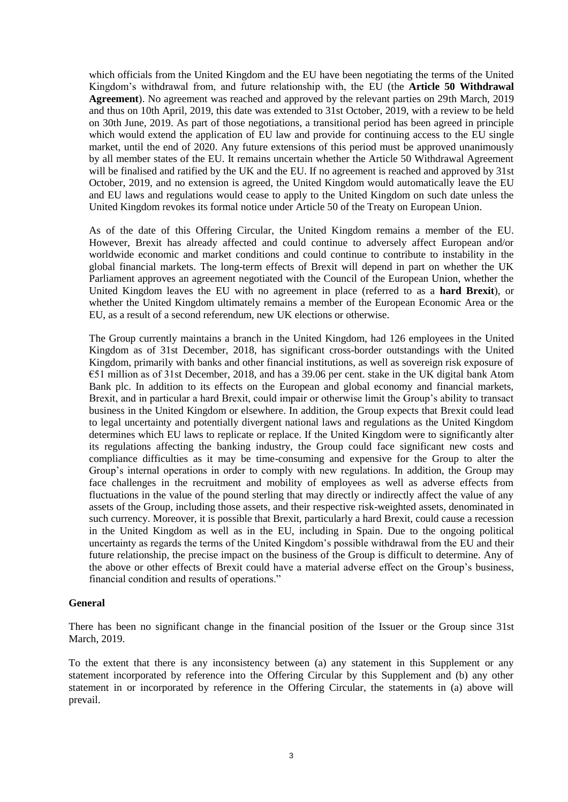which officials from the United Kingdom and the EU have been negotiating the terms of the United Kingdom's withdrawal from, and future relationship with, the EU (the **Article 50 Withdrawal Agreement**). No agreement was reached and approved by the relevant parties on 29th March, 2019 and thus on 10th April, 2019, this date was extended to 31st October, 2019, with a review to be held on 30th June, 2019. As part of those negotiations, a transitional period has been agreed in principle which would extend the application of EU law and provide for continuing access to the EU single market, until the end of 2020. Any future extensions of this period must be approved unanimously by all member states of the EU. It remains uncertain whether the Article 50 Withdrawal Agreement will be finalised and ratified by the UK and the EU. If no agreement is reached and approved by 31st October, 2019, and no extension is agreed, the United Kingdom would automatically leave the EU and EU laws and regulations would cease to apply to the United Kingdom on such date unless the United Kingdom revokes its formal notice under Article 50 of the Treaty on European Union.

As of the date of this Offering Circular, the United Kingdom remains a member of the EU. However, Brexit has already affected and could continue to adversely affect European and/or worldwide economic and market conditions and could continue to contribute to instability in the global financial markets. The long-term effects of Brexit will depend in part on whether the UK Parliament approves an agreement negotiated with the Council of the European Union, whether the United Kingdom leaves the EU with no agreement in place (referred to as a **hard Brexit**), or whether the United Kingdom ultimately remains a member of the European Economic Area or the EU, as a result of a second referendum, new UK elections or otherwise.

The Group currently maintains a branch in the United Kingdom, had 126 employees in the United Kingdom as of 31st December, 2018, has significant cross-border outstandings with the United Kingdom, primarily with banks and other financial institutions, as well as sovereign risk exposure of €51 million as of 31st December, 2018, and has a 39.06 per cent. stake in the UK digital bank Atom Bank plc. In addition to its effects on the European and global economy and financial markets, Brexit, and in particular a hard Brexit, could impair or otherwise limit the Group's ability to transact business in the United Kingdom or elsewhere. In addition, the Group expects that Brexit could lead to legal uncertainty and potentially divergent national laws and regulations as the United Kingdom determines which EU laws to replicate or replace. If the United Kingdom were to significantly alter its regulations affecting the banking industry, the Group could face significant new costs and compliance difficulties as it may be time-consuming and expensive for the Group to alter the Group's internal operations in order to comply with new regulations. In addition, the Group may face challenges in the recruitment and mobility of employees as well as adverse effects from fluctuations in the value of the pound sterling that may directly or indirectly affect the value of any assets of the Group, including those assets, and their respective risk-weighted assets, denominated in such currency. Moreover, it is possible that Brexit, particularly a hard Brexit, could cause a recession in the United Kingdom as well as in the EU, including in Spain. Due to the ongoing political uncertainty as regards the terms of the United Kingdom's possible withdrawal from the EU and their future relationship, the precise impact on the business of the Group is difficult to determine. Any of the above or other effects of Brexit could have a material adverse effect on the Group's business, financial condition and results of operations."

# **General**

There has been no significant change in the financial position of the Issuer or the Group since 31st March, 2019.

To the extent that there is any inconsistency between (a) any statement in this Supplement or any statement incorporated by reference into the Offering Circular by this Supplement and (b) any other statement in or incorporated by reference in the Offering Circular, the statements in (a) above will prevail.